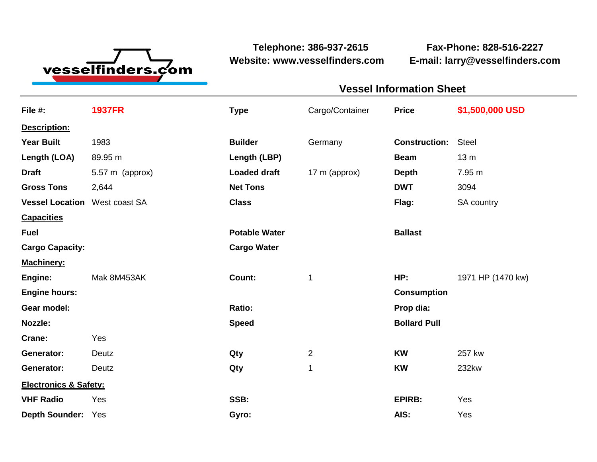

**Website: www.vesselfinders.com E-mail: larry@vesselfinders.com**

**Telephone: 386-937-2615 Fax-Phone: 828-516-2227**

**Vessel Information Sheet**

| <b>Vessel Information Shee</b>       |                                       |  |
|--------------------------------------|---------------------------------------|--|
|                                      | Cargo/Container Price \$1,500,000 USD |  |
|                                      |                                       |  |
| <b>Builder Germany</b>               | <b>Construction:</b> Steel            |  |
| <b>Length (LBP)</b>                  | Beam 13 m                             |  |
| <b>Loaded draft</b><br>17 m (approx) | <b>Depth</b> 7.95 m                   |  |
|                                      | <b>DWT</b> 3094                       |  |
|                                      | Flag: SA country                      |  |
| <b>Potable Water</b>                 | <b>Ballast</b>                        |  |
| <b>Cargo Water</b>                   |                                       |  |
|                                      |                                       |  |
|                                      | HP: 1971 HP (1470 kw)                 |  |
|                                      | Consumption                           |  |
|                                      | Prop dia:                             |  |
|                                      | <b>Bollard Pull</b>                   |  |
|                                      | <b>KW</b> 257 kw                      |  |
| $\overline{\mathbf{1}}$              | <b>KW</b> 232kw                       |  |
|                                      |                                       |  |
|                                      | EPIRB: Yes                            |  |
|                                      |                                       |  |